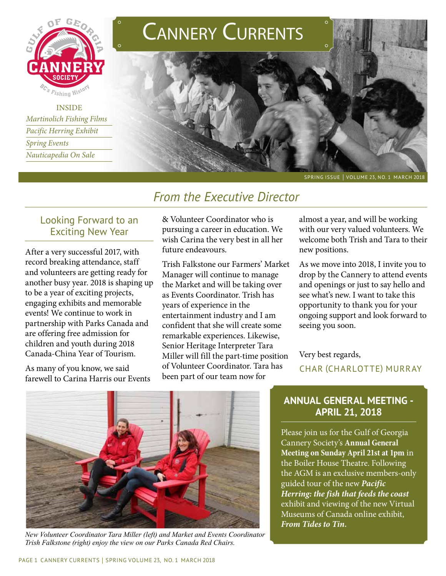

**INSIDE** *Martinolich Fishing Films Pacific Herring Exhibit Spring Events Nauticapedia On Sale*





SPRING ISSUE | VOLUME 23, NO. 1 MARCH 2018

# *From the Executive Director*

## Looking Forward to an Exciting New Year

After a very successful 2017, with record breaking attendance, staff and volunteers are getting ready for another busy year. 2018 is shaping up to be a year of exciting projects, engaging exhibits and memorable events! We continue to work in partnership with Parks Canada and are offering free admission for children and youth during 2018 Canada-China Year of Tourism.

As many of you know, we said farewell to Carina Harris our Events & Volunteer Coordinator who is pursuing a career in education. We wish Carina the very best in all her future endeavours.

Trish Falkstone our Farmers' Market Manager will continue to manage the Market and will be taking over as Events Coordinator. Trish has years of experience in the entertainment industry and I am confident that she will create some remarkable experiences. Likewise, Senior Heritage Interpreter Tara Miller will fill the part-time position of Volunteer Coordinator. Tara has been part of our team now for

almost a year, and will be working with our very valued volunteers. We welcome both Trish and Tara to their new positions.

As we move into 2018, I invite you to drop by the Cannery to attend events and openings or just to say hello and see what's new. I want to take this opportunity to thank you for your ongoing support and look forward to seeing you soon.

Very best regards, char (charlotte) murray



*New Volunteer Coordinator Tara Miller (left) and Market and Events Coordinator Trish Falkstone (right) enjoy the view on our Parks Canada Red Chairs.*

### **ANNUAL GENERAL MEETING - APRIL 21, 2018**

Please join us for the Gulf of Georgia Cannery Society's **Annual General Meeting on Sunday April 21st at 1pm** in the Boiler House Theatre. Following the AGM is an exclusive members-only guided tour of the new *Pacific Herring: the fish that feeds the coast* exhibit and viewing of the new Virtual Museums of Canada online exhibit, *From Tides to Tin.*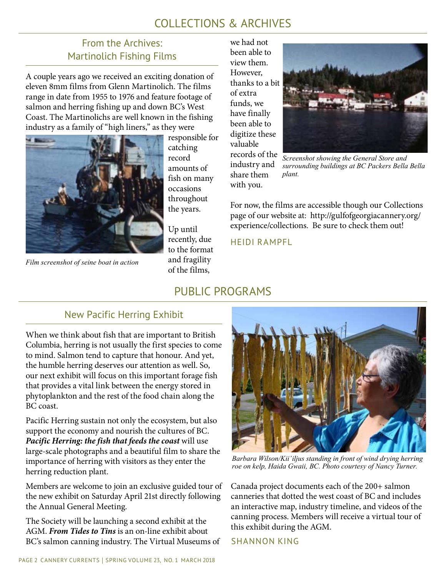# COLLECTIONS & ARCHIVES

## From the Archives: Martinolich Fishing Films

A couple years ago we received an exciting donation of eleven 8mm films from Glenn Martinolich. The films range in date from 1955 to 1976 and feature footage of salmon and herring fishing up and down BC's West Coast. The Martinolichs are well known in the fishing industry as a family of "high liners," as they were



*Film screenshot of seine boat in action*

responsible for catching record amounts of fish on many occasions throughout the years.

Up until recently, due to the format and fragility of the films,

we had not been able to view them. However, thanks to a bit of extra funds, we have finally been able to digitize these valuable records of the industry and share them

with you.



*Screenshot showing the General Store and surrounding buildings at BC Packers Bella Bella plant.* 

For now, the films are accessible though our Collections page of our website at: http://gulfofgeorgiacannery.org/ experience/collections. Be sure to check them out!

heidi rampfl

# PUBLIC PROGRAMS

## New Pacific Herring Exhibit

When we think about fish that are important to British Columbia, herring is not usually the first species to come to mind. Salmon tend to capture that honour. And yet, the humble herring deserves our attention as well. So, our next exhibit will focus on this important forage fish that provides a vital link between the energy stored in phytoplankton and the rest of the food chain along the BC coast.

Pacific Herring sustain not only the ecosystem, but also support the economy and nourish the cultures of BC. *Pacific Herring: the fish that feeds the coast* will use large-scale photographs and a beautiful film to share the importance of herring with visitors as they enter the herring reduction plant.

Members are welcome to join an exclusive guided tour of the new exhibit on Saturday April 21st directly following the Annual General Meeting.

The Society will be launching a second exhibit at the AGM. *From Tides to Tins* is an on-line exhibit about BC's salmon canning industry. The Virtual Museums of



*Barbara Wilson/Kii'iljus standing in front of wind drying herring roe on kelp, Haida Gwaii, BC. Photo courtesy of Nancy Turner.*

Canada project documents each of the 200+ salmon canneries that dotted the west coast of BC and includes an interactive map, industry timeline, and videos of the canning process. Members will receive a virtual tour of this exhibit during the AGM.

shannon king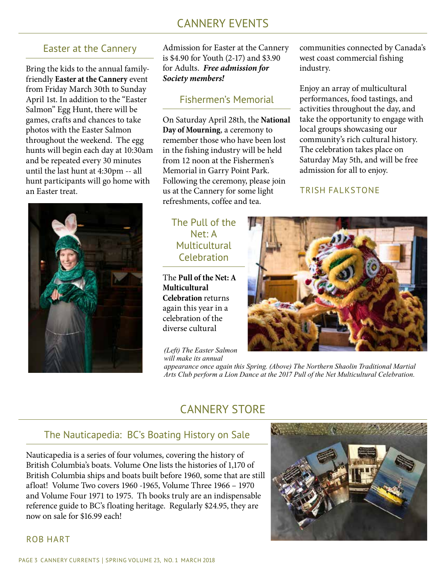# CANNERY EVENTS

### Easter at the Cannery

Bring the kids to the annual familyfriendly **Easter at the Cannery** event from Friday March 30th to Sunday April 1st. In addition to the "Easter Salmon" Egg Hunt, there will be games, crafts and chances to take photos with the Easter Salmon throughout the weekend. The egg hunts will begin each day at 10:30am and be repeated every 30 minutes until the last hunt at 4:30pm -- all hunt participants will go home with an Easter treat.



Admission for Easter at the Cannery is \$4.90 for Youth (2-17) and \$3.90 for Adults. *Free admission for Society members!*

### Fishermen's Memorial

On Saturday April 28th, the **National Day of Mourning**, a ceremony to remember those who have been lost in the fishing industry will be held from 12 noon at the Fishermen's Memorial in Garry Point Park. Following the ceremony, please join us at the Cannery for some light refreshments, coffee and tea.

## The Pull of the Net: A Multicultural Celebration

The **Pull of the Net: A Multicultural Celebration** returns again this year in a celebration of the diverse cultural

*(Left) The Easter Salmon will make its annual* 

*appearance once again this Spring. (Above) The Northern Shaolin Traditional Martial Arts Club perform a Lion Dance at the 2017 Pull of the Net Multicultural Celebration.*

communities connected by Canada's

west coast commercial fishing

Enjoy an array of multicultural performances, food tastings, and activities throughout the day, and take the opportunity to engage with

local groups showcasing our

admission for all to enjoy.

TRISH FALKSTONE

community's rich cultural history. The celebration takes place on Saturday May 5th, and will be free

industry.

## CANNERY STORE

### The Nauticapedia: BC's Boating History on Sale

Nauticapedia is a series of four volumes, covering the history of British Columbia's boats. Volume One lists the histories of 1,170 of British Columbia ships and boats built before 1960, some that are still afloat! Volume Two covers 1960 -1965, Volume Three 1966 – 1970 and Volume Four 1971 to 1975. Th books truly are an indispensable reference guide to BC's floating heritage. Regularly \$24.95, they are now on sale for \$16.99 each!



### rob hart